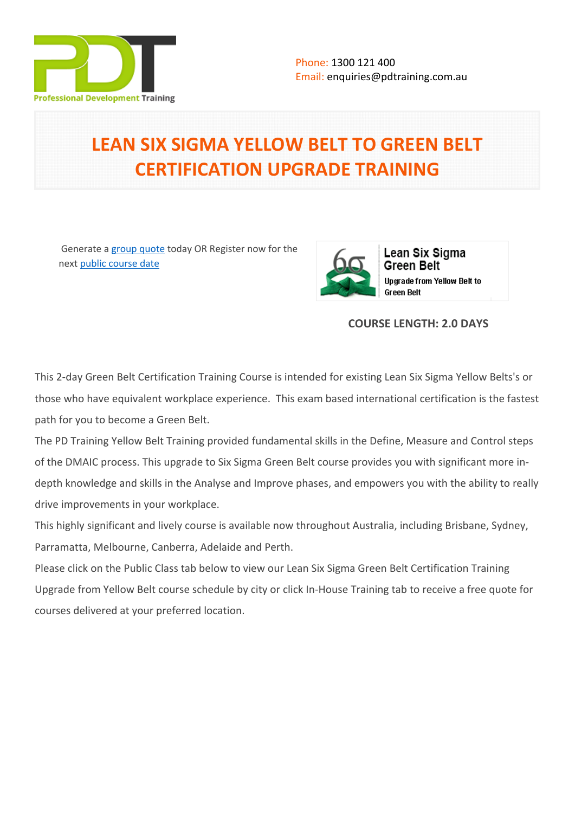

# **LEAN SIX SIGMA YELLOW BELT TO GREEN BELT CERTIFICATION UPGRADE TRAINING**

 Generate a [group quote](https://pdtraining.com.au/inhouse-training-quote?cse=YBGB) today OR Register now for the next [public course date](https://pdtraining.com.au/booking?schedulecode=8pYhF11eItpc6PV5uth6G4kwXwp0vXDNrKbltqMMDfEnwecX2VlL7K0efBtiMbTUZLUwNKMeRFDBz79TuB8JM1QQT7g16DaBwTyUtQjrih4ChzOiBKYkdji85dMQDUhnEbeQJozNrQAE7oJus8AvPZ&countryCode=AU¤cyCode=AU)



# **COURSE LENGTH: 2.0 DAYS**

This 2-day Green Belt Certification Training Course is intended for existing [Lean Six Sigma Yellow Belts's](https://pdtraining.com.au/courses/lean-six-sigma-yellow-belt-training-course) or those who have equivalent workplace experience. This exam based international certification is the fastest path for you to become a Green Belt.

The PD Training Yellow Belt Training provided fundamental skills in the Define, Measure and Control steps of the DMAIC process. This upgrade to Six Sigma Green Belt course provides you with significant more indepth knowledge and skills in the Analyse and Improve phases, and empowers you with the ability to really drive improvements in your workplace.

This highly significant and lively course is available now throughout Australia, including Brisbane, Sydney, Parramatta, Melbourne, Canberra, Adelaide and Perth.

Please click on the Public Class tab below to view our Lean Six Sigma Green Belt Certification Training Upgrade from Yellow Belt course schedule by city or click In-House Training tab to receive a free quote for courses delivered at your preferred location.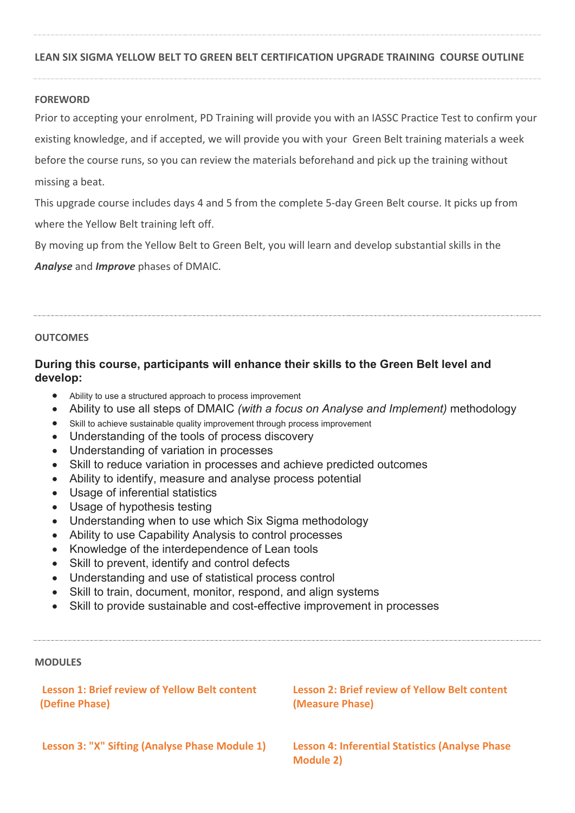#### **LEAN SIX SIGMA YELLOW BELT TO GREEN BELT CERTIFICATION UPGRADE TRAINING COURSE OUTLINE**

#### **FOREWORD**

Prior to accepting your enrolment, PD Training will provide you with an IASSC Practice Test to confirm your existing knowledge, and if accepted, we will provide you with your Green Belt training materials a week before the course runs, so you can review the materials beforehand and pick up the training without missing a beat.

This upgrade course includes days 4 and 5 from the complete 5-day Green Belt course. It picks up from where the Yellow Belt training left off.

By moving up from the Yellow Belt to Green Belt, you will learn and develop substantial skills in the

*Analyse* and *Improve* phases of DMAIC.

#### **OUTCOMES**

# **During this course, participants will enhance their skills to the Green Belt level and develop:**

- Ability to use a structured approach to process improvement
- Ability to use all steps of DMAIC *(with a focus on Analyse and Implement)* methodology
- Skill to achieve sustainable quality improvement through process improvement
- Understanding of the tools of process discovery
- Understanding of variation in processes
- Skill to reduce variation in processes and achieve predicted outcomes
- Ability to identify, measure and analyse process potential
- Usage of inferential statistics
- Usage of hypothesis testing
- Understanding when to use which Six Sigma methodology
- Ability to use Capability Analysis to control processes
- Knowledge of the interdependence of Lean tools
- Skill to prevent, identify and control defects
- Understanding and use of statistical process control
- Skill to train, document, monitor, respond, and align systems
- Skill to provide sustainable and cost-effective improvement in processes

#### **MODULES**

| <b>Lesson 1: Brief review of Yellow Belt content</b> | <b>Lesson 2: Brief review of Yellow Belt content</b>                 |
|------------------------------------------------------|----------------------------------------------------------------------|
| (Define Phase)                                       | (Measure Phase)                                                      |
| Lesson 3: "X" Sifting (Analyse Phase Module 1)       | <b>Lesson 4: Inferential Statistics (Analyse Phase)</b><br>Module 2) |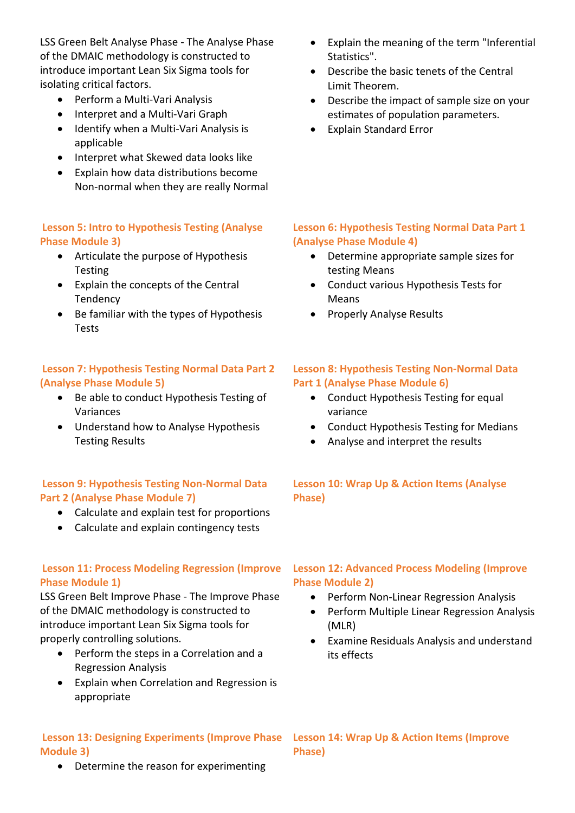LSS Green Belt Analyse Phase - The Analyse Phase of the DMAIC methodology is constructed to introduce important Lean Six Sigma tools for isolating critical factors.

- Perform a Multi-Vari Analysis
- Interpret and a Multi-Vari Graph
- Identify when a Multi-Vari Analysis is applicable
- Interpret what Skewed data looks like
- Explain how data distributions become Non-normal when they are really Normal

#### **Lesson 5: Intro to Hypothesis Testing (Analyse Phase Module 3)**

- Articulate the purpose of Hypothesis **Testing**
- Explain the concepts of the Central Tendency
- Be familiar with the types of Hypothesis Tests

## **Lesson 7: Hypothesis Testing Normal Data Part 2 (Analyse Phase Module 5)**

- Be able to conduct Hypothesis Testing of Variances
- Understand how to Analyse Hypothesis Testing Results

# **Lesson 9: Hypothesis Testing Non-Normal Data Part 2 (Analyse Phase Module 7)**

- Calculate and explain test for proportions
- Calculate and explain contingency tests

# **Lesson 11: Process Modeling Regression (Improve Phase Module 1)**

LSS Green Belt Improve Phase - The Improve Phase of the DMAIC methodology is constructed to introduce important Lean Six Sigma tools for properly controlling solutions.

- Perform the steps in a Correlation and a Regression Analysis
- Explain when Correlation and Regression is appropriate

#### **Lesson 13: Designing Experiments (Improve Phase Lesson 14: Wrap Up & Action Items (Improve Module 3)**

• Determine the reason for experimenting

- Explain the meaning of the term "Inferential Statistics".
- Describe the basic tenets of the Central Limit Theorem.
- Describe the impact of sample size on your estimates of population parameters.
- Explain Standard Error

# **Lesson 6: Hypothesis Testing Normal Data Part 1 (Analyse Phase Module 4)**

- Determine appropriate sample sizes for testing Means
- Conduct various Hypothesis Tests for Means
- Properly Analyse Results

#### **Lesson 8: Hypothesis Testing Non-Normal Data Part 1 (Analyse Phase Module 6)**

- Conduct Hypothesis Testing for equal variance
- Conduct Hypothesis Testing for Medians
- Analyse and interpret the results

## **Lesson 10: Wrap Up & Action Items (Analyse Phase)**

## **Lesson 12: Advanced Process Modeling (Improve Phase Module 2)**

- Perform Non-Linear Regression Analysis
- Perform Multiple Linear Regression Analysis (MLR)
- Examine Residuals Analysis and understand its effects

**Phase)**